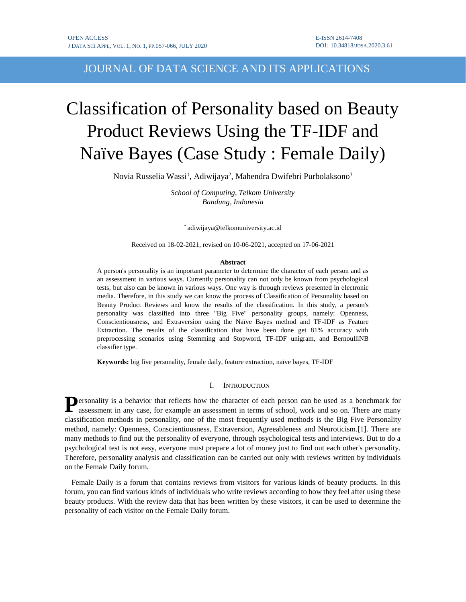JOURNAL OF DATA SCIENCE AND ITS APPLICATIONS

# Classification of Personality based on Beauty Product Reviews Using the TF-IDF and Naïve Bayes (Case Study : Female Daily)

Novia Russelia Wassi<sup>1</sup>, Adiwijaya<sup>2</sup>, Mahendra Dwifebri Purbolaksono<sup>3</sup>

*School of Computing, Telkom University Bandung, Indonesia*

\* adiwijaya@telkomuniversity.ac.id

Received on 18-02-2021, revised on 10-06-2021, accepted on 17-06-2021

#### **Abstract**

A person's personality is an important parameter to determine the character of each person and as an assessment in various ways. Currently personality can not only be known from psychological tests, but also can be known in various ways. One way is through reviews presented in electronic media. Therefore, in this study we can know the process of Classification of Personality based on Beauty Product Reviews and know the results of the classification. In this study, a person's personality was classified into three "Big Five" personality groups, namely: Openness, Conscientiousness, and Extraversion using the Naïve Bayes method and TF-IDF as Feature Extraction. The results of the classification that have been done get 81% accuracy with preprocessing scenarios using Stemming and Stopword, TF-IDF unigram, and BernoulliNB classifier type.

**Keywords:** big five personality, female daily, feature extraction, naïve bayes, TF-IDF

## I. INTRODUCTION

**P**ersonality is a behavior that reflects how the character of each person can be used as a benchmark for assessment in any case, for example an assessment in terms of school, work and so on. There are many assessment in any case, for example an assessment in terms of school, work and so on. There are many classification methods in personality, one of the most frequently used methods is the Big Five Personality method, namely: Openness, Conscientiousness, Extraversion, Agreeableness and Neuroticism.[1]. There are many methods to find out the personality of everyone, through psychological tests and interviews. But to do a psychological test is not easy, everyone must prepare a lot of money just to find out each other's personality. Therefore, personality analysis and classification can be carried out only with reviews written by individuals on the Female Daily forum.

Female Daily is a forum that contains reviews from visitors for various kinds of beauty products. In this forum, you can find various kinds of individuals who write reviews according to how they feel after using these beauty products. With the review data that has been written by these visitors, it can be used to determine the personality of each visitor on the Female Daily forum.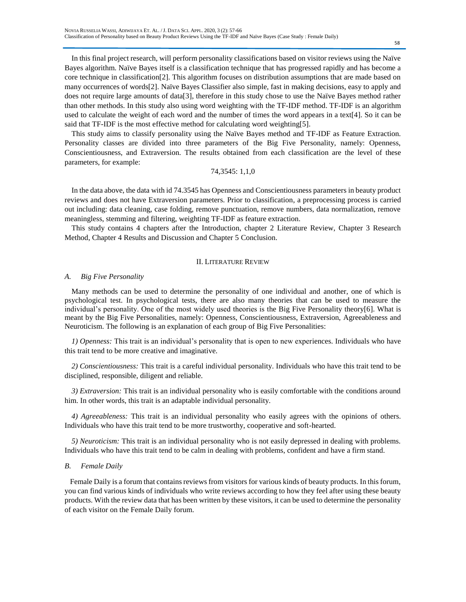In this final project research, will perform personality classifications based on visitor reviews using the Naïve Bayes algorithm. Naïve Bayes itself is a classification technique that has progressed rapidly and has become a core technique in classification[2]. This algorithm focuses on distribution assumptions that are made based on many occurrences of words[2]. Naïve Bayes Classifier also simple, fast in making decisions, easy to apply and does not require large amounts of data[3], therefore in this study chose to use the Naïve Bayes method rather than other methods. In this study also using word weighting with the TF-IDF method. TF-IDF is an algorithm used to calculate the weight of each word and the number of times the word appears in a text[4]. So it can be said that TF-IDF is the most effective method for calculating word weighting[5].

This study aims to classify personality using the Naïve Bayes method and TF-IDF as Feature Extraction. Personality classes are divided into three parameters of the Big Five Personality, namely: Openness, Conscientiousness, and Extraversion. The results obtained from each classification are the level of these parameters, for example:

# 74,3545: 1,1,0

In the data above, the data with id 74.3545 has Openness and Conscientiousness parameters in beauty product reviews and does not have Extraversion parameters. Prior to classification, a preprocessing process is carried out including: data cleaning, case folding, remove punctuation, remove numbers, data normalization, remove meaningless, stemming and filtering, weighting TF-IDF as feature extraction.

This study contains 4 chapters after the Introduction, chapter 2 Literature Review, Chapter 3 Research Method, Chapter 4 Results and Discussion and Chapter 5 Conclusion.

## II. LITERATURE REVIEW

## *A. Big Five Personality*

Many methods can be used to determine the personality of one individual and another, one of which is psychological test. In psychological tests, there are also many theories that can be used to measure the individual's personality. One of the most widely used theories is the Big Five Personality theory[6]. What is meant by the Big Five Personalities, namely: Openness, Conscientiousness, Extraversion, Agreeableness and Neuroticism. The following is an explanation of each group of Big Five Personalities:

*1) Openness:* This trait is an individual's personality that is open to new experiences. Individuals who have this trait tend to be more creative and imaginative.

*2) Conscientiousness:* This trait is a careful individual personality. Individuals who have this trait tend to be disciplined, responsible, diligent and reliable.

*3) Extraversion:* This trait is an individual personality who is easily comfortable with the conditions around him. In other words, this trait is an adaptable individual personality.

*4) Agreeableness:* This trait is an individual personality who easily agrees with the opinions of others. Individuals who have this trait tend to be more trustworthy, cooperative and soft-hearted.

*5) Neuroticism:* This trait is an individual personality who is not easily depressed in dealing with problems. Individuals who have this trait tend to be calm in dealing with problems, confident and have a firm stand.

## *B. Female Daily*

Female Daily is a forum that contains reviews from visitors for various kinds of beauty products. In this forum, you can find various kinds of individuals who write reviews according to how they feel after using these beauty products. With the review data that has been written by these visitors, it can be used to determine the personality of each visitor on the Female Daily forum.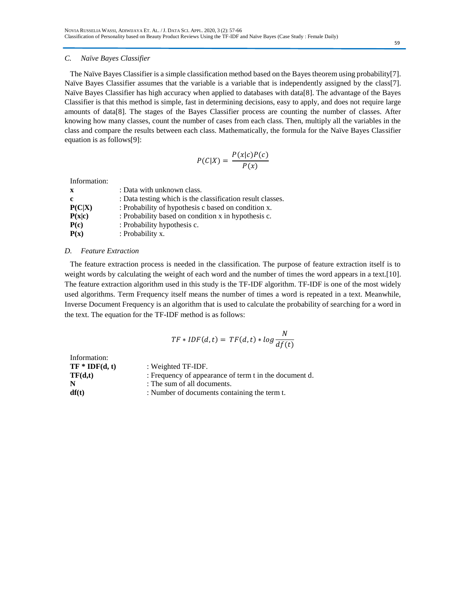## *C. Naïve Bayes Classifier*

The Naïve Bayes Classifier is a simple classification method based on the Bayes theorem using probability[7]. Naïve Bayes Classifier assumes that the variable is a variable that is independently assigned by the class[7]. Naïve Bayes Classifier has high accuracy when applied to databases with data[8]. The advantage of the Bayes Classifier is that this method is simple, fast in determining decisions, easy to apply, and does not require large amounts of data[8]. The stages of the Bayes Classifier process are counting the number of classes. After knowing how many classes, count the number of cases from each class. Then, multiply all the variables in the class and compare the results between each class. Mathematically, the formula for the Naïve Bayes Classifier equation is as follows[9]:

$$
P(C|X) = \frac{P(x|c)P(c)}{P(x)}
$$

Information:

| $\mathbf{x}$ | : Data with unknown class.                                 |
|--------------|------------------------------------------------------------|
| c            | : Data testing which is the classification result classes. |
| P(C X)       | : Probability of hypothesis c based on condition x.        |
| P(x c)       | : Probability based on condition x in hypothesis c.        |
| P(c)         | : Probability hypothesis c.                                |
| P(x)         | : Probability x.                                           |

## *D. Feature Extraction*

The feature extraction process is needed in the classification. The purpose of feature extraction itself is to weight words by calculating the weight of each word and the number of times the word appears in a text.[10]. The feature extraction algorithm used in this study is the TF-IDF algorithm. TF-IDF is one of the most widely used algorithms. Term Frequency itself means the number of times a word is repeated in a text. Meanwhile, Inverse Document Frequency is an algorithm that is used to calculate the probability of searching for a word in the text. The equation for the TF-IDF method is as follows:

$$
TF * IDF(d, t) = TF(d, t) * log \frac{N}{df(t)}
$$

| Information:     |                                                        |
|------------------|--------------------------------------------------------|
| $TF * IDF(d, t)$ | : Weighted TF-IDF.                                     |
| TF(d,t)          | : Frequency of appearance of term t in the document d. |
| N                | : The sum of all documents.                            |
| df(t)            | : Number of documents containing the term t.           |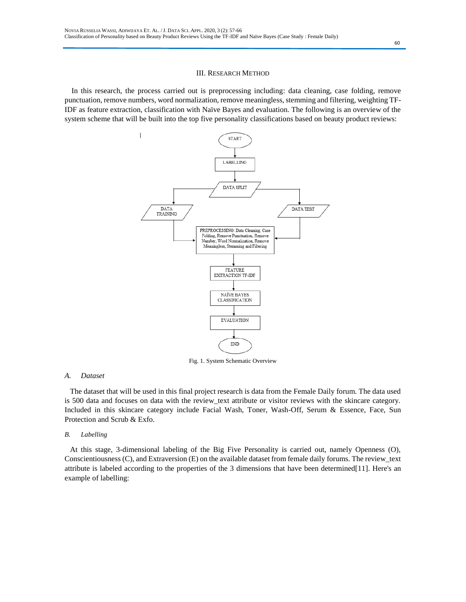#### III. RESEARCH METHOD

In this research, the process carried out is preprocessing including: data cleaning, case folding, remove punctuation, remove numbers, word normalization, remove meaningless, stemming and filtering, weighting TF-IDF as feature extraction, classification with Naïve Bayes and evaluation. The following is an overview of the system scheme that will be built into the top five personality classifications based on beauty product reviews:



Fig. 1. System Schematic Overview

#### *A. Dataset*

The dataset that will be used in this final project research is data from the Female Daily forum. The data used is 500 data and focuses on data with the review\_text attribute or visitor reviews with the skincare category. Included in this skincare category include Facial Wash, Toner, Wash-Off, Serum & Essence, Face, Sun Protection and Scrub & Exfo.

#### *B. Labelling*

At this stage, 3-dimensional labeling of the Big Five Personality is carried out, namely Openness (O), Conscientiousness (C), and Extraversion (E) on the available dataset from female daily forums. The review\_text attribute is labeled according to the properties of the 3 dimensions that have been determined[11]. Here's an example of labelling: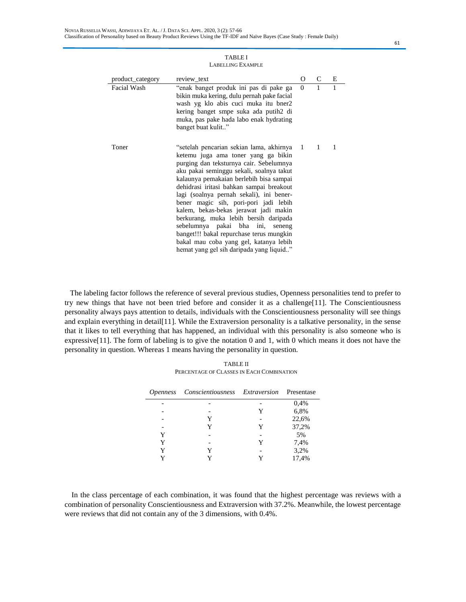| product_category | review text                                                                                                                                                                                                                                                                                                                                                                                                                                                                                                                                                                                                  | 0        | C            | E |
|------------------|--------------------------------------------------------------------------------------------------------------------------------------------------------------------------------------------------------------------------------------------------------------------------------------------------------------------------------------------------------------------------------------------------------------------------------------------------------------------------------------------------------------------------------------------------------------------------------------------------------------|----------|--------------|---|
| Facial Wash      | "enak banget produk ini pas di pake ga<br>bikin muka kering, dulu pernah pake facial<br>wash yg klo abis cuci muka itu bner2<br>kering banget smpe suka ada putih <sub>2</sub> di<br>muka, pas pake hada labo enak hydrating<br>banget buat kulit"                                                                                                                                                                                                                                                                                                                                                           | $\Omega$ | 1            | 1 |
| Toner            | "setelah pencarian sekian lama, akhirnya 1<br>ketemu juga ama toner yang ga bikin<br>purging dan teksturnya cair. Sebelumnya<br>aku pakai seminggu sekali, soalnya takut<br>kalaunya pemakaian berlebih bisa sampai<br>dehidrasi iritasi bahkan sampai breakout<br>lagi (soalnya pernah sekali), ini bener-<br>bener magic sih, pori-pori jadi lebih<br>kalem, bekas-bekas jerawat jadi makin<br>berkurang, muka lebih bersih daripada<br>sebelumnya pakai bha ini, seneng<br>banget!!! bakal repurchase terus mungkin<br>bakal mau coba yang gel, katanya lebih<br>hemat yang gel sih daripada yang liquid" |          | $\mathbf{1}$ | 1 |

TABLE I LABELLING EXAMPLE

The labeling factor follows the reference of several previous studies, Openness personalities tend to prefer to try new things that have not been tried before and consider it as a challenge[11]. The Conscientiousness personality always pays attention to details, individuals with the Conscientiousness personality will see things and explain everything in detail[11]. While the Extraversion personality is a talkative personality, in the sense that it likes to tell everything that has happened, an individual with this personality is also someone who is expressive[11]. The form of labeling is to give the notation 0 and 1, with 0 which means it does not have the personality in question. Whereas 1 means having the personality in question.

TABLE II PERCENTAGE OF CLASSES IN EACH COMBINATION

| <i>Openness</i> | <i>Conscientiousness Extraversion</i> Presentase |   |       |
|-----------------|--------------------------------------------------|---|-------|
|                 |                                                  |   | 0,4%  |
|                 |                                                  | Y | 6,8%  |
|                 | Y                                                |   | 22,6% |
|                 | Y                                                | Y | 37,2% |
| Y               |                                                  |   | 5%    |
| Y               |                                                  | Y | 7,4%  |
| Y               |                                                  |   | 3,2%  |
|                 |                                                  |   | 17,4% |

In the class percentage of each combination, it was found that the highest percentage was reviews with a combination of personality Conscientiousness and Extraversion with 37.2%. Meanwhile, the lowest percentage were reviews that did not contain any of the 3 dimensions, with 0.4%.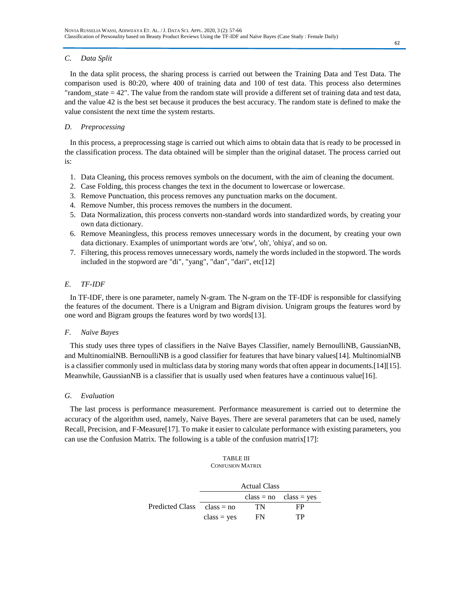# *C. Data Split*

In the data split process, the sharing process is carried out between the Training Data and Test Data. The comparison used is 80:20, where 400 of training data and 100 of test data. This process also determines "random state  $= 42$ ". The value from the random state will provide a different set of training data and test data, and the value 42 is the best set because it produces the best accuracy. The random state is defined to make the value consistent the next time the system restarts.

## *D. Preprocessing*

In this process, a preprocessing stage is carried out which aims to obtain data that is ready to be processed in the classification process. The data obtained will be simpler than the original dataset. The process carried out is:

- 1. Data Cleaning, this process removes symbols on the document, with the aim of cleaning the document.
- 2. Case Folding, this process changes the text in the document to lowercase or lowercase.
- 3. Remove Punctuation, this process removes any punctuation marks on the document.
- 4. Remove Number, this process removes the numbers in the document.
- 5. Data Normalization, this process converts non-standard words into standardized words, by creating your own data dictionary.
- 6. Remove Meaningless, this process removes unnecessary words in the document, by creating your own data dictionary. Examples of unimportant words are 'otw', 'oh', 'ohiya', and so on.
- 7. Filtering, this process removes unnecessary words, namely the words included in the stopword. The words included in the stopword are "di", "yang", "dan", "dari", etc[12]

# *E. TF-IDF*

In TF-IDF, there is one parameter, namely N-gram. The N-gram on the TF-IDF is responsible for classifying the features of the document. There is a Unigram and Bigram division. Unigram groups the features word by one word and Bigram groups the features word by two words[13].

# *F. Naïve Bayes*

This study uses three types of classifiers in the Naïve Bayes Classifier, namely BernoulliNB, GaussianNB, and MultinomialNB. BernoulliNB is a good classifier for features that have binary values[14]. MultinomialNB is a classifier commonly used in multiclass data by storing many words that often appear in documents.[14][15]. Meanwhile, GaussianNB is a classifier that is usually used when features have a continuous value[16].

## *G. Evaluation*

The last process is performance measurement. Performance measurement is carried out to determine the accuracy of the algorithm used, namely, Naive Bayes. There are several parameters that can be used, namely Recall, Precision, and F-Measure[17]. To make it easier to calculate performance with existing parameters, you can use the Confusion Matrix. The following is a table of the confusion matrix[17]:

## TABLE III CONFUSION MATRIX

|                 | <b>Actual Class</b> |    |                                  |
|-----------------|---------------------|----|----------------------------------|
|                 |                     |    | $class = no \text{ class} = yes$ |
| Predicted Class | $class = no$        | TN | FP                               |
|                 | $class = yes$       | FN | TP                               |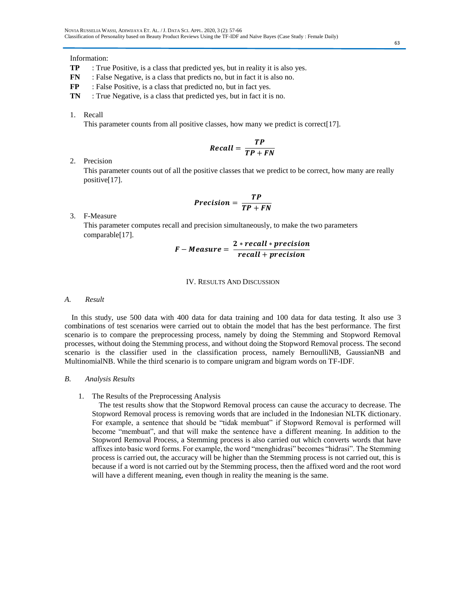## Information:

- **TP** : True Positive, is a class that predicted yes, but in reality it is also yes.
- **FN** : False Negative, is a class that predicts no, but in fact it is also no.
- **FP** : False Positive, is a class that predicted no, but in fact yes.
- **TN** : True Negative, is a class that predicted yes, but in fact it is no.
- 1. Recall

This parameter counts from all positive classes, how many we predict is correct[17].

$$
Recall = \frac{TP}{TP + FN}
$$

## 2. Precision

This parameter counts out of all the positive classes that we predict to be correct, how many are really positive[17].

$$
Precision = \frac{TP}{TP + FN}
$$

3. F-Measure

This parameter computes recall and precision simultaneously, to make the two parameters comparable[17].

$$
F-Measure = \frac{2*recall*precision}{recall+precision}
$$

## IV. RESULTS AND DISCUSSION

## *A. Result*

In this study, use 500 data with 400 data for data training and 100 data for data testing. It also use 3 combinations of test scenarios were carried out to obtain the model that has the best performance. The first scenario is to compare the preprocessing process, namely by doing the Stemming and Stopword Removal processes, without doing the Stemming process, and without doing the Stopword Removal process. The second scenario is the classifier used in the classification process, namely BernoulliNB, GaussianNB and MultinomialNB. While the third scenario is to compare unigram and bigram words on TF-IDF.

## *B. Analysis Results*

## 1. The Results of the Preprocessing Analysis

The test results show that the Stopword Removal process can cause the accuracy to decrease. The Stopword Removal process is removing words that are included in the Indonesian NLTK dictionary. For example, a sentence that should be "tidak membuat" if Stopword Removal is performed will become "membuat", and that will make the sentence have a different meaning. In addition to the Stopword Removal Process, a Stemming process is also carried out which converts words that have affixes into basic word forms. For example, the word "menghidrasi" becomes "hidrasi". The Stemming process is carried out, the accuracy will be higher than the Stemming process is not carried out, this is because if a word is not carried out by the Stemming process, then the affixed word and the root word will have a different meaning, even though in reality the meaning is the same.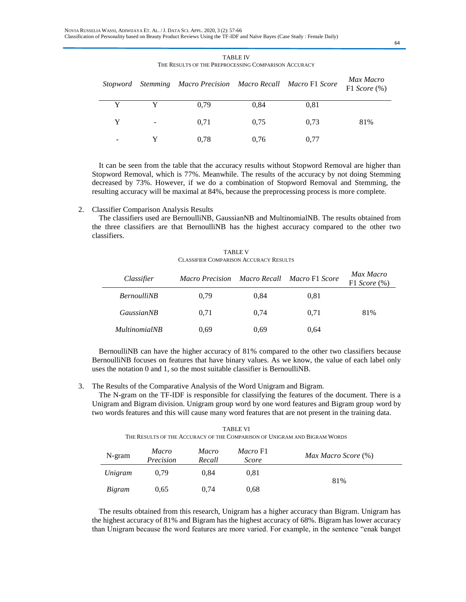|                          |                          | Stopword Stemming Macro Precision Macro Recall Macro F1 Score |      |      | Max Macro<br>F1 Score $(\%)$ |
|--------------------------|--------------------------|---------------------------------------------------------------|------|------|------------------------------|
| Y                        |                          | 0.79                                                          | 0,84 | 0.81 |                              |
| Y                        | $\overline{\phantom{a}}$ | 0.71                                                          | 0.75 | 0.73 | 81%                          |
| $\overline{\phantom{0}}$ |                          | 0.78                                                          | 0.76 | 0.77 |                              |

TABLE IV THE RESULTS OF THE PREPROCESSING COMPARISON ACCURACY

It can be seen from the table that the accuracy results without Stopword Removal are higher than Stopword Removal, which is 77%. Meanwhile. The results of the accuracy by not doing Stemming decreased by 73%. However, if we do a combination of Stopword Removal and Stemming, the resulting accuracy will be maximal at 84%, because the preprocessing process is more complete.

## 2. Classifier Comparison Analysis Results

The classifiers used are BernoulliNB, GaussianNB and MultinomialNB. The results obtained from the three classifiers are that BernoulliNB has the highest accuracy compared to the other two classifiers.

TABLE V CLASSIFIER COMPARISON ACCURACY RESULTS

| Classifier           | <b>Macro Precision</b> |      | Macro Recall Macro F1 Score | Max Macro<br>F1 Score (%) |
|----------------------|------------------------|------|-----------------------------|---------------------------|
| <b>BernoulliNB</b>   | 0.79                   | 0.84 | 0.81                        |                           |
| <i>GaussianNB</i>    | 0.71                   | 0.74 | 0.71                        | 81%                       |
| <i>MultinomialNB</i> | 0.69                   | 0.69 | 0.64                        |                           |

BernoulliNB can have the higher accuracy of 81% compared to the other two classifiers because BernoulliNB focuses on features that have binary values. As we know, the value of each label only uses the notation 0 and 1, so the most suitable classifier is BernoulliNB.

3. The Results of the Comparative Analysis of the Word Unigram and Bigram.

The N-gram on the TF-IDF is responsible for classifying the features of the document. There is a Unigram and Bigram division. Unigram group word by one word features and Bigram group word by two words features and this will cause many word features that are not present in the training data.

TABLE VI THE RESULTS OF THE ACCURACY OF THE COMPARISON OF UNIGRAM AND BIGRAM WORDS

| N-gram        | Macro<br>Precision | Macro<br>Recall | Macro F1<br>Score | Max Macro Score (%) |
|---------------|--------------------|-----------------|-------------------|---------------------|
| Unigram       | 0.79               | 0.84            | 0.81              |                     |
| <b>Bigram</b> | 0.65               | 0.74            | 0.68              | 81%                 |

The results obtained from this research, Unigram has a higher accuracy than Bigram. Unigram has the highest accuracy of 81% and Bigram has the highest accuracy of 68%. Bigram has lower accuracy than Unigram because the word features are more varied. For example, in the sentence "enak banget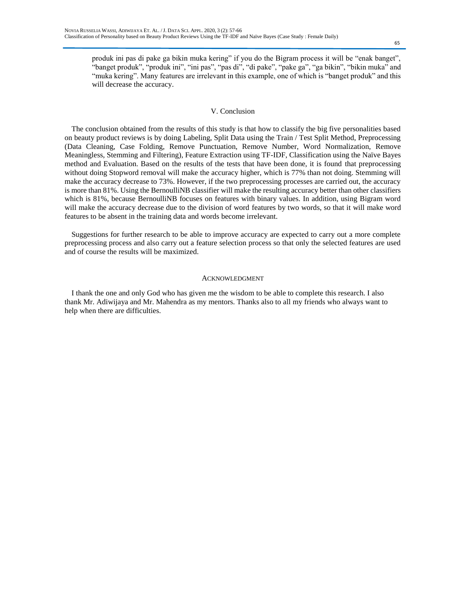produk ini pas di pake ga bikin muka kering" if you do the Bigram process it will be "enak banget", "banget produk", "produk ini", "ini pas", "pas di", "di pake", "pake ga", "ga bikin", "bikin muka" and "muka kering". Many features are irrelevant in this example, one of which is "banget produk" and this will decrease the accuracy.

## V. Conclusion

The conclusion obtained from the results of this study is that how to classify the big five personalities based on beauty product reviews is by doing Labeling, Split Data using the Train / Test Split Method, Preprocessing (Data Cleaning, Case Folding, Remove Punctuation, Remove Number, Word Normalization, Remove Meaningless, Stemming and Filtering), Feature Extraction using TF-IDF, Classification using the Naïve Bayes method and Evaluation. Based on the results of the tests that have been done, it is found that preprocessing without doing Stopword removal will make the accuracy higher, which is 77% than not doing. Stemming will make the accuracy decrease to 73%. However, if the two preprocessing processes are carried out, the accuracy is more than 81%. Using the BernoulliNB classifier will make the resulting accuracy better than other classifiers which is 81%, because BernoulliNB focuses on features with binary values. In addition, using Bigram word will make the accuracy decrease due to the division of word features by two words, so that it will make word features to be absent in the training data and words become irrelevant.

Suggestions for further research to be able to improve accuracy are expected to carry out a more complete preprocessing process and also carry out a feature selection process so that only the selected features are used and of course the results will be maximized.

#### ACKNOWLEDGMENT

I thank the one and only God who has given me the wisdom to be able to complete this research. I also thank Mr. Adiwijaya and Mr. Mahendra as my mentors. Thanks also to all my friends who always want to help when there are difficulties.